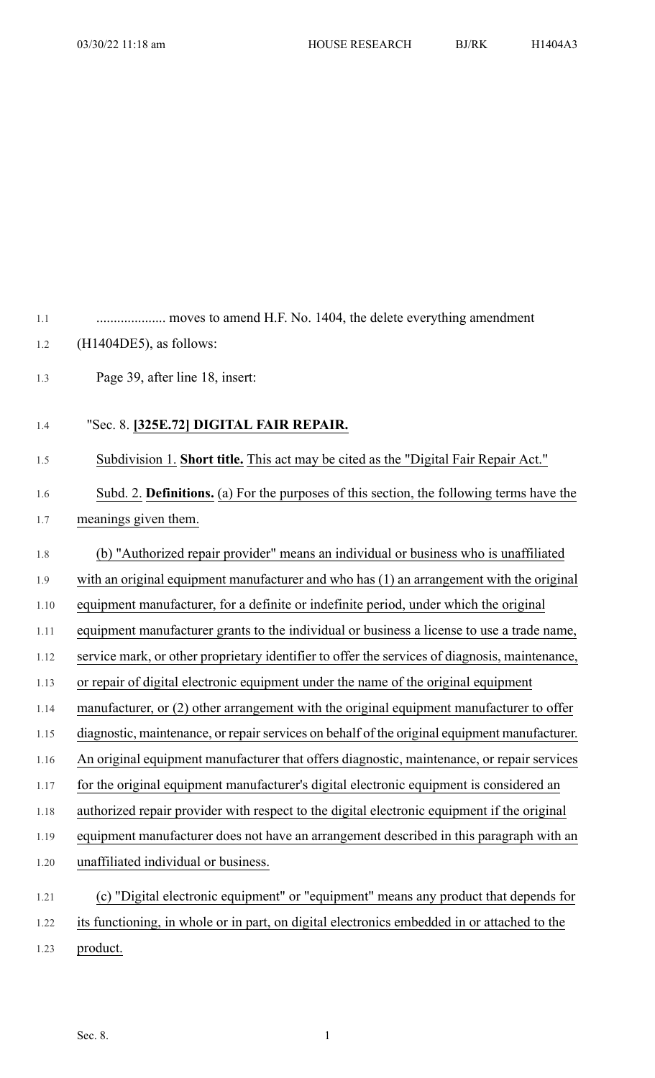| 1.1  |                                                                                                |
|------|------------------------------------------------------------------------------------------------|
| 1.2  | $(H1404DE5)$ , as follows:                                                                     |
| 1.3  | Page 39, after line 18, insert:                                                                |
| 1.4  | "Sec. 8. [325E.72] DIGITAL FAIR REPAIR.                                                        |
| 1.5  | Subdivision 1. Short title. This act may be cited as the "Digital Fair Repair Act."            |
| 1.6  | Subd. 2. Definitions. (a) For the purposes of this section, the following terms have the       |
| 1.7  | meanings given them.                                                                           |
| 1.8  | (b) "Authorized repair provider" means an individual or business who is unaffiliated           |
| 1.9  | with an original equipment manufacturer and who has $(1)$ an arrangement with the original     |
| 1.10 | equipment manufacturer, for a definite or indefinite period, under which the original          |
| 1.11 | equipment manufacturer grants to the individual or business a license to use a trade name,     |
| 1.12 | service mark, or other proprietary identifier to offer the services of diagnosis, maintenance, |
| 1.13 | or repair of digital electronic equipment under the name of the original equipment             |
| 1.14 | manufacturer, or (2) other arrangement with the original equipment manufacturer to offer       |
| 1.15 | diagnostic, maintenance, or repair services on behalf of the original equipment manufacturer.  |
| 1.16 | An original equipment manufacturer that offers diagnostic, maintenance, or repair services     |
| 1.17 | for the original equipment manufacturer's digital electronic equipment is considered an        |
| 1.18 | authorized repair provider with respect to the digital electronic equipment if the original    |
| 1.19 | equipment manufacturer does not have an arrangement described in this paragraph with an        |
| 1.20 | unaffiliated individual or business.                                                           |
| 1.21 | (c) "Digital electronic equipment" or "equipment" means any product that depends for           |
| 1.22 | its functioning, in whole or in part, on digital electronics embedded in or attached to the    |
| 1.23 | product.                                                                                       |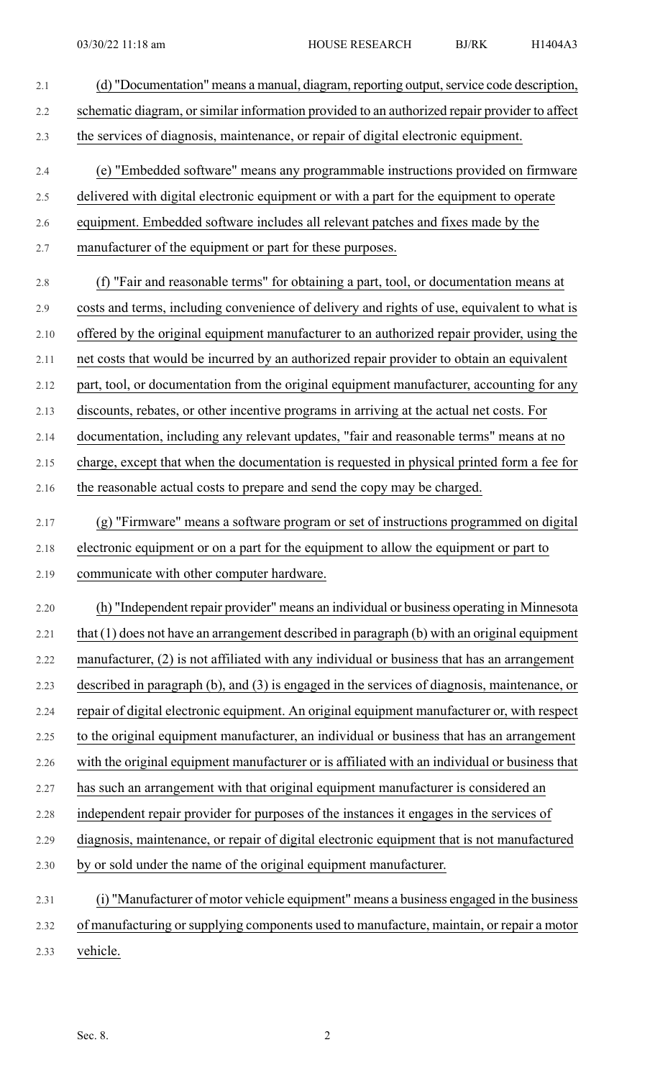| 2.1  | (d) "Documentation" means a manual, diagram, reporting output, service code description,      |
|------|-----------------------------------------------------------------------------------------------|
| 2.2  | schematic diagram, or similar information provided to an authorized repair provider to affect |
| 2.3  | the services of diagnosis, maintenance, or repair of digital electronic equipment.            |
| 2.4  | (e) "Embedded software" means any programmable instructions provided on firmware              |
| 2.5  | delivered with digital electronic equipment or with a part for the equipment to operate       |
| 2.6  | equipment. Embedded software includes all relevant patches and fixes made by the              |
| 2.7  | manufacturer of the equipment or part for these purposes.                                     |
| 2.8  | (f) "Fair and reasonable terms" for obtaining a part, tool, or documentation means at         |
| 2.9  | costs and terms, including convenience of delivery and rights of use, equivalent to what is   |
| 2.10 | offered by the original equipment manufacturer to an authorized repair provider, using the    |
| 2.11 | net costs that would be incurred by an authorized repair provider to obtain an equivalent     |
| 2.12 | part, tool, or documentation from the original equipment manufacturer, accounting for any     |
| 2.13 | discounts, rebates, or other incentive programs in arriving at the actual net costs. For      |
| 2.14 | documentation, including any relevant updates, "fair and reasonable terms" means at no        |
| 2.15 | charge, except that when the documentation is requested in physical printed form a fee for    |
| 2.16 | the reasonable actual costs to prepare and send the copy may be charged.                      |
| 2.17 | (g) "Firmware" means a software program or set of instructions programmed on digital          |
| 2.18 | electronic equipment or on a part for the equipment to allow the equipment or part to         |
| 2.19 | communicate with other computer hardware.                                                     |
| 2.20 | (h) "Independent repair provider" means an individual or business operating in Minnesota      |
| 2.21 | that (1) does not have an arrangement described in paragraph (b) with an original equipment   |
| 2.22 | manufacturer, (2) is not affiliated with any individual or business that has an arrangement   |
| 2.23 | described in paragraph (b), and (3) is engaged in the services of diagnosis, maintenance, or  |
| 2.24 | repair of digital electronic equipment. An original equipment manufacturer or, with respect   |
| 2.25 | to the original equipment manufacturer, an individual or business that has an arrangement     |
| 2.26 | with the original equipment manufacturer or is affiliated with an individual or business that |
| 2.27 | has such an arrangement with that original equipment manufacturer is considered an            |
| 2.28 | independent repair provider for purposes of the instances it engages in the services of       |
| 2.29 | diagnosis, maintenance, or repair of digital electronic equipment that is not manufactured    |
| 2.30 | by or sold under the name of the original equipment manufacturer.                             |
| 2.31 | (i) "Manufacturer of motor vehicle equipment" means a business engaged in the business        |
| 2.32 | of manufacturing or supplying components used to manufacture, maintain, or repair a motor     |
| 2.33 | vehicle.                                                                                      |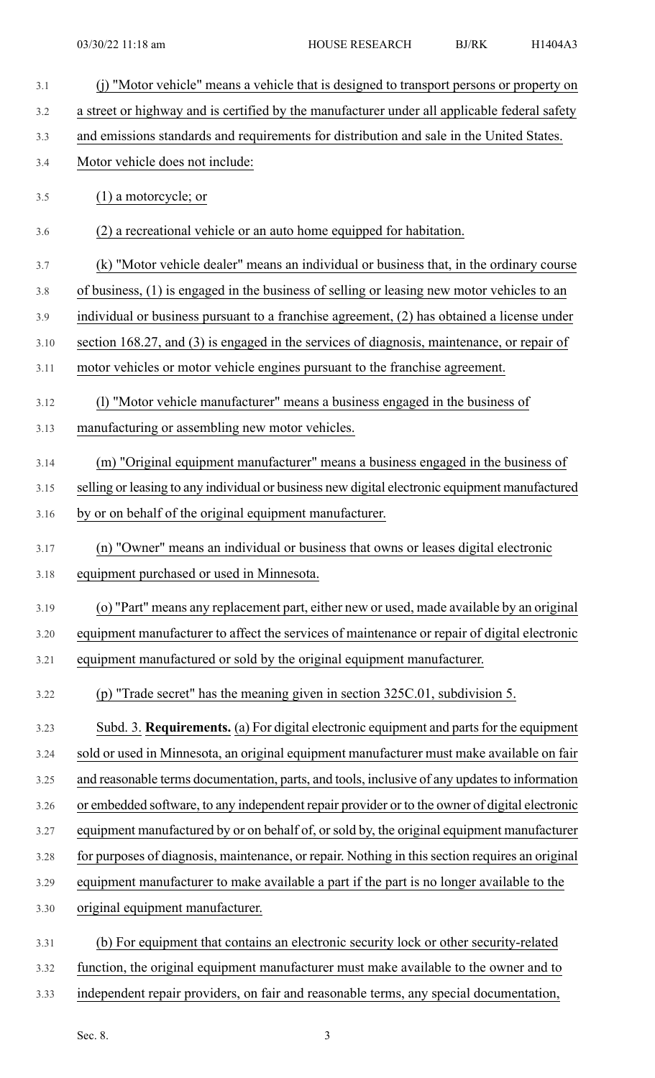| 3.1  | (j) "Motor vehicle" means a vehicle that is designed to transport persons or property on        |
|------|-------------------------------------------------------------------------------------------------|
| 3.2  | a street or highway and is certified by the manufacturer under all applicable federal safety    |
| 3.3  | and emissions standards and requirements for distribution and sale in the United States.        |
| 3.4  | Motor vehicle does not include:                                                                 |
| 3.5  | $(1)$ a motorcycle; or                                                                          |
| 3.6  | (2) a recreational vehicle or an auto home equipped for habitation.                             |
| 3.7  | (k) "Motor vehicle dealer" means an individual or business that, in the ordinary course         |
| 3.8  | of business, (1) is engaged in the business of selling or leasing new motor vehicles to an      |
| 3.9  | individual or business pursuant to a franchise agreement, $(2)$ has obtained a license under    |
| 3.10 | section 168.27, and (3) is engaged in the services of diagnosis, maintenance, or repair of      |
| 3.11 | motor vehicles or motor vehicle engines pursuant to the franchise agreement.                    |
| 3.12 | (1) "Motor vehicle manufacturer" means a business engaged in the business of                    |
| 3.13 | manufacturing or assembling new motor vehicles.                                                 |
| 3.14 | (m) "Original equipment manufacturer" means a business engaged in the business of               |
| 3.15 | selling or leasing to any individual or business new digital electronic equipment manufactured  |
| 3.16 | by or on behalf of the original equipment manufacturer.                                         |
| 3.17 | (n) "Owner" means an individual or business that owns or leases digital electronic              |
| 3.18 | equipment purchased or used in Minnesota.                                                       |
| 3.19 | (o) "Part" means any replacement part, either new or used, made available by an original        |
| 3.20 | equipment manufacturer to affect the services of maintenance or repair of digital electronic    |
| 3.21 | equipment manufactured or sold by the original equipment manufacturer.                          |
| 3.22 | (p) "Trade secret" has the meaning given in section 325C.01, subdivision 5.                     |
| 3.23 | Subd. 3. Requirements. (a) For digital electronic equipment and parts for the equipment         |
| 3.24 | sold or used in Minnesota, an original equipment manufacturer must make available on fair       |
| 3.25 | and reasonable terms documentation, parts, and tools, inclusive of any updates to information   |
| 3.26 | or embedded software, to any independent repair provider or to the owner of digital electronic  |
| 3.27 | equipment manufactured by or on behalf of, or sold by, the original equipment manufacturer      |
| 3.28 | for purposes of diagnosis, maintenance, or repair. Nothing in this section requires an original |
| 3.29 | equipment manufacturer to make available a part if the part is no longer available to the       |
| 3.30 | original equipment manufacturer.                                                                |
| 3.31 | (b) For equipment that contains an electronic security lock or other security-related           |
| 3.32 | function, the original equipment manufacturer must make available to the owner and to           |
|      |                                                                                                 |

3.33 independent repair providers, on fair and reasonable terms, any special documentation,